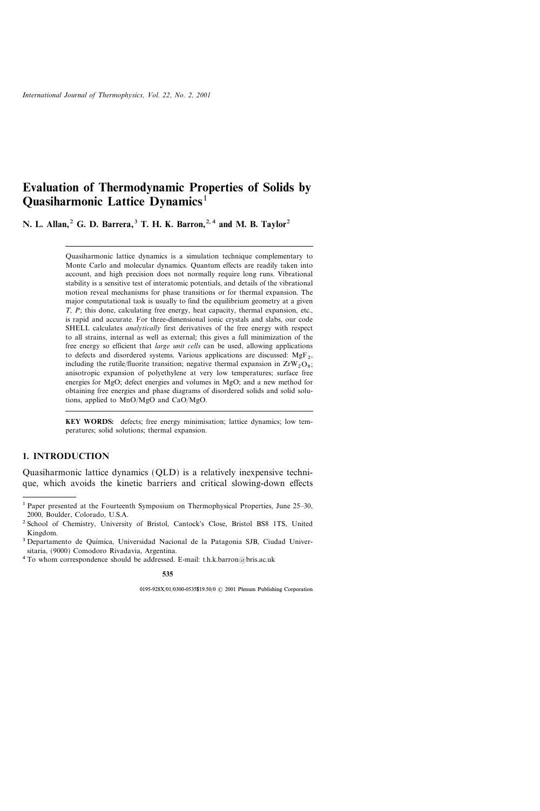# Evaluation of Thermodynamic Properties of Solids by Quasiharmonic Lattice Dynamics<sup>1</sup>

N. L. Allan,  $2^2$  G. D. Barrera,  $3^3$  T. H. K. Barron,  $2^2$ , and M. B. Taylor  $2^2$ 

Quasiharmonic lattice dynamics is a simulation technique complementary to Monte Carlo and molecular dynamics. Quantum effects are readily taken into account, and high precision does not normally require long runs. Vibrational stability is a sensitive test of interatomic potentials, and details of the vibrational motion reveal mechanisms for phase transitions or for thermal expansion. The major computational task is usually to find the equilibrium geometry at a given  $T$ ,  $P$ ; this done, calculating free energy, heat capacity, thermal expansion, etc., is rapid and accurate. For three-dimensional ionic crystals and slabs, our code SHELL calculates *analytically* first derivatives of the free energy with respect to all strains, internal as well as external; this gives a full minimization of the free energy so efficient that *large unit cells* can be used, allowing applications to defects and disordered systems. Various applications are discussed:  $MgF_2$ , including the rutile/fluorite transition; negative thermal expansion in  $ZrW_2O_8$ ; anisotropic expansion of polyethylene at very low temperatures; surface free energies for MgO; defect energies and volumes in MgO; and a new method for obtaining free energies and phase diagrams of disordered solids and solid solutions, applied to MnO/MgO and CaO/MgO.

KEY WORDS: defects; free energy minimisation; lattice dynamics; low temperatures; solid solutions; thermal expansion.

## 1. INTRODUCTION

Quasiharmonic lattice dynamics (QLD) is a relatively inexpensive technique, which avoids the kinetic barriers and critical slowing-down effects

535

<sup>&</sup>lt;sup>1</sup> Paper presented at the Fourteenth Symposium on Thermophysical Properties, June  $25-30$ , 2000, Boulder, Colorado, U.S.A.

<sup>2</sup> School of Chemistry, University of Bristol, Cantock's Close, Bristol BS8 1TS, United Kingdom.

<sup>&</sup>lt;sup>3</sup> Departamento de Química, Universidad Nacional de la Patagonia SJB, Ciudad Universitaria, (9000) Comodoro Rivadavia, Argentina.

<sup>&</sup>lt;sup>4</sup> To whom correspondence should be addressed. E-mail: t.h.k.barron@bris.ac.uk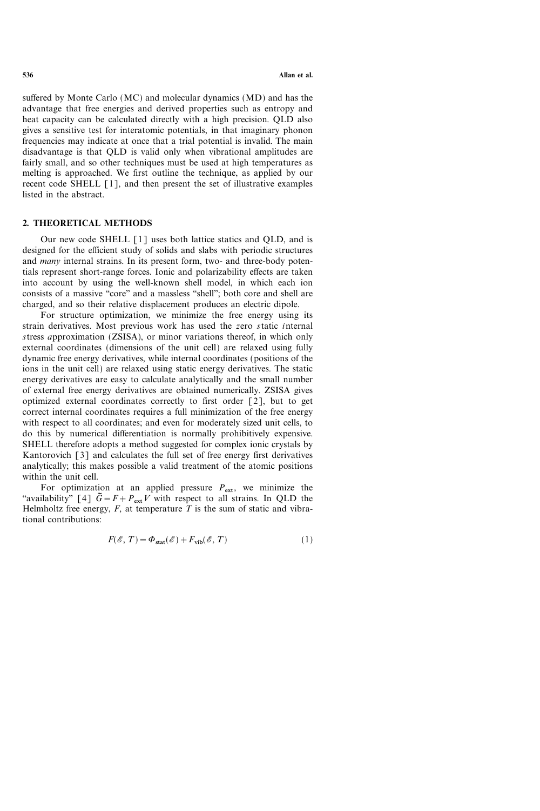suffered by Monte Carlo (MC) and molecular dynamics (MD) and has the advantage that free energies and derived properties such as entropy and heat capacity can be calculated directly with a high precision. QLD also gives a sensitive test for interatomic potentials, in that imaginary phonon frequencies may indicate at once that a trial potential is invalid. The main disadvantage is that QLD is valid only when vibrational amplitudes are fairly small, and so other techniques must be used at high temperatures as melting is approached. We first outline the technique, as applied by our recent code SHELL [1], and then present the set of illustrative examples listed in the abstract.

### 2. THEORETICAL METHODS

Our new code SHELL [1] uses both lattice statics and QLD, and is designed for the efficient study of solids and slabs with periodic structures and *many* internal strains. In its present form, two- and three-body potentials represent short-range forces. Ionic and polarizability effects are taken into account by using the well-known shell model, in which each ion consists of a massive "core" and a massless "shell"; both core and shell are charged, and so their relative displacement produces an electric dipole.

For structure optimization, we minimize the free energy using its strain derivatives. Most previous work has used the zero static internal stress approximation (ZSISA), or minor variations thereof, in which only external coordinates (dimensions of the unit cell) are relaxed using fully dynamic free energy derivatives, while internal coordinates (positions of the ions in the unit cell) are relaxed using static energy derivatives. The static energy derivatives are easy to calculate analytically and the small number of external free energy derivatives are obtained numerically. ZSISA gives optimized external coordinates correctly to first order [2], but to get correct internal coordinates requires a full minimization of the free energy with respect to all coordinates; and even for moderately sized unit cells, to do this by numerical differentiation is normally prohibitively expensive. SHELL therefore adopts a method suggested for complex ionic crystals by Kantorovich [3] and calculates the full set of free energy first derivatives analytically; this makes possible a valid treatment of the atomic positions within the unit cell.

For optimization at an applied pressure  $P_{ext}$ , we minimize the "availability" [4]  $\tilde{G} = F + P_{ext}V$  with respect to all strains. In QLD the Helmholtz free energy,  $F$ , at temperature  $T$  is the sum of static and vibrational contributions:

$$
F(\mathcal{E}, T) = \Phi_{\text{stat}}(\mathcal{E}) + F_{\text{vib}}(\mathcal{E}, T)
$$
 (1)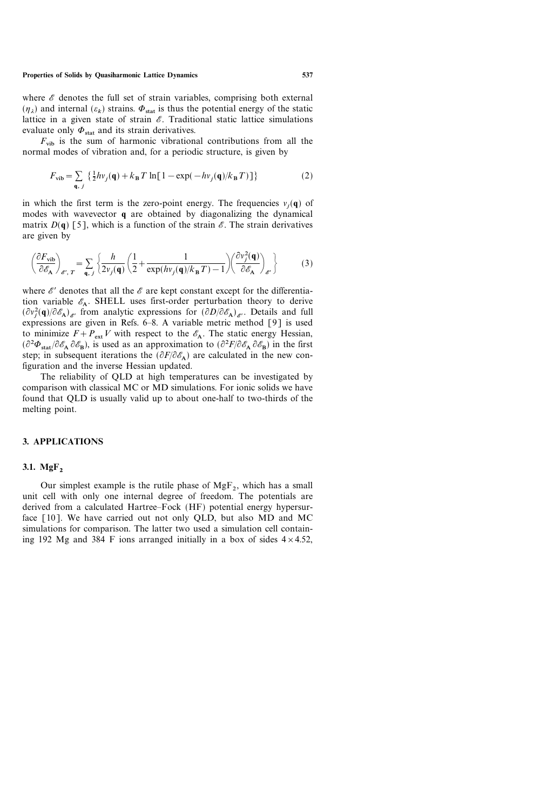#### Properties of Solids by Quasiharmonic Lattice Dynamics 537

where  $\mathscr E$  denotes the full set of strain variables, comprising both external  $(\eta_{\lambda})$  and internal  $(\varepsilon_k)$  strains.  $\Phi_{\text{stat}}$  is thus the potential energy of the static lattice in a given state of strain  $\mathscr E$ . Traditional static lattice simulations evaluate only  $\Phi_{\text{stat}}$  and its strain derivatives.

 $F_{vib}$  is the sum of harmonic vibrational contributions from all the normal modes of vibration and, for a periodic structure, is given by

$$
F_{\text{vib}} = \sum_{\mathbf{q}, j} \left\{ \frac{1}{2} h v_j(\mathbf{q}) + k_\mathbf{B} T \ln[1 - \exp(-h v_j(\mathbf{q})/k_\mathbf{B} T)] \right\}
$$
 (2)

in which the first term is the zero-point energy. The frequencies  $v_i(q)$  of modes with wavevector q are obtained by diagonalizing the dynamical matrix  $D(q)$  [5], which is a function of the strain  $\mathscr E$ . The strain derivatives are given by

$$
\left(\frac{\partial F_{\text{vib}}}{\partial \mathscr{E}_{\mathbf{A}}}\right)_{\mathscr{E}',T} = \sum_{\mathbf{q},j} \left\{ \frac{h}{2v_j(\mathbf{q})} \left( \frac{1}{2} + \frac{1}{\exp(hv_j(\mathbf{q})/k_{\mathbf{B}}T) - 1} \right) \left( \frac{\partial v_j^2(\mathbf{q})}{\partial \mathscr{E}_{\mathbf{A}}}\right)_{\mathscr{E}'} \right\} \tag{3}
$$

where  $\mathscr{E}'$  denotes that all the  $\mathscr{E}$  are kept constant except for the differentiation variable  $\mathscr{E}_A$ . SHELL uses first-order perturbation theory to derive  $(\partial v_j^2(\mathbf{q})/\partial \mathscr{E}_A)_{\mathscr{E}}$  from analytic expressions for  $(\partial D/\partial \mathscr{E}_A)_{\mathscr{E}}$ . Details and full expressions are given in Refs. 6-8. A variable metric method  $\lceil 9 \rceil$  is used to minimize  $F+P_{ext}V$  with respect to the  $\mathscr{E}_A$ . The static energy Hessian,  $(\partial^2 \Phi_{\text{stat}}/\partial \mathscr{E}_A \partial \mathscr{E}_B)$ , is used as an approximation to  $(\partial^2 F/\partial \mathscr{E}_A \partial \mathscr{E}_B)$  in the first step; in subsequent iterations the  $(\partial F/\partial \mathscr{E}_A)$  are calculated in the new configuration and the inverse Hessian updated.

The reliability of QLD at high temperatures can be investigated by comparison with classical MC or MD simulations. For ionic solids we have found that QLD is usually valid up to about one-half to two-thirds of the melting point.

### 3. APPLICATIONS

### 3.1. Mg $F<sub>2</sub>$

Our simplest example is the rutile phase of  $MgF<sub>2</sub>$ , which has a small unit cell with only one internal degree of freedom. The potentials are derived from a calculated Hartree–Fock (HF) potential energy hypersurface [10]. We have carried out not only QLD, but also MD and MC simulations for comparison. The latter two used a simulation cell containing 192 Mg and 384 F ions arranged initially in a box of sides  $4 \times 4.52$ ,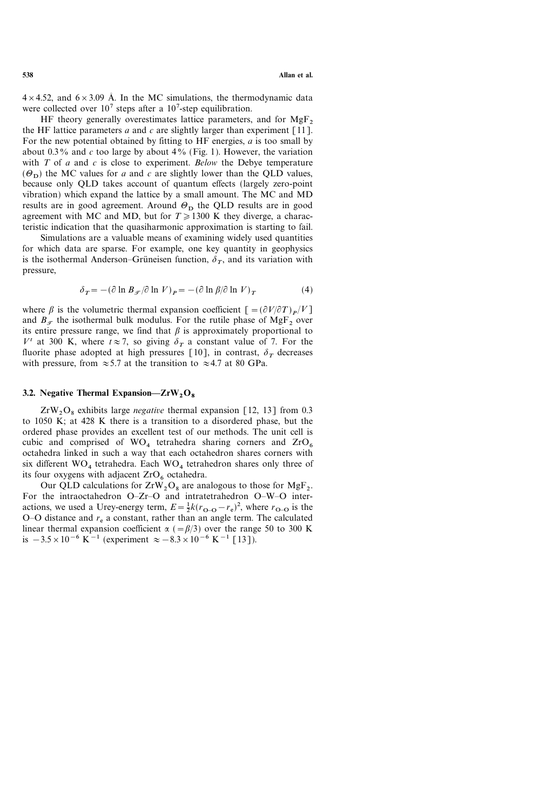$4 \times 4.52$ , and  $6 \times 3.09$  Å. In the MC simulations, the thermodynamic data were collected over  $10^7$  steps after a  $10^7$ -step equilibration.

HF theory generally overestimates lattice parameters, and for  $MgF<sub>2</sub>$ the HF lattice parameters a and c are slightly larger than experiment  $\lceil 11 \rceil$ . For the new potential obtained by fitting to HF energies,  $a$  is too small by about 0.3% and c too large by about 4% (Fig. 1). However, the variation with  $T$  of  $a$  and  $c$  is close to experiment. Below the Debye temperature  $(\Theta_{\mathbf{D}})$  the MC values for a and c are slightly lower than the QLD values, because only QLD takes account of quantum effects (largely zero-point vibration) which expand the lattice by a small amount. The MC and MD results are in good agreement. Around  $\mathcal{O}_D$  the QLD results are in good agreement with MC and MD, but for  $T \ge 1300$  K they diverge, a characteristic indication that the quasiharmonic approximation is starting to fail.

Simulations are a valuable means of examining widely used quantities for which data are sparse. For example, one key quantity in geophysics is the isothermal Anderson–Grüneisen function,  $\delta_{\tau}$ , and its variation with pressure,

$$
\delta_T = -(\partial \ln B_{\mathcal{F}}/\partial \ln V)_P = -(\partial \ln \beta/\partial \ln V)_T \tag{4}
$$

where  $\beta$  is the volumetric thermal expansion coefficient  $[=(\partial V/\partial T)_P/V]$ and  $B_{\tau}$  the isothermal bulk modulus. For the rutile phase of MgF<sub>2</sub> over its entire pressure range, we find that  $\beta$  is approximately proportional to  $V^t$  at 300 K, where  $t \approx 7$ , so giving  $\delta_T$  a constant value of 7. For the fluorite phase adopted at high pressures [10], in contrast,  $\delta_T$  decreases with pressure, from  $\approx 5.7$  at the transition to  $\approx 4.7$  at 80 GPa.

### 3.2. Negative Thermal Expansion— $ZrW_2O_8$

 $ZrW_2O_8$  exhibits large *negative* thermal expansion [12, 13] from 0.3 to 1050 K; at 428 K there is a transition to a disordered phase, but the ordered phase provides an excellent test of our methods. The unit cell is cubic and comprised of  $WO_4$  tetrahedra sharing corners and  $ZrO_6$ octahedra linked in such a way that each octahedron shares corners with six different  $WO_4$  tetrahedra. Each  $WO_4$  tetrahedron shares only three of its four oxygens with adjacent  $ZrO<sub>6</sub>$  octahedra.

Our QLD calculations for  $ZrW_2O_8$  are analogous to those for  $MgF_2$ . For the intraoctahedron  $O-Zr-O$  and intratetrahedron  $O-W-O$  interactions, we used a Urey-energy term,  $E = \frac{1}{2}k(r_{\text{O}-\text{O}} - r_{\text{e}})^2$ , where  $r_{\text{O}-\text{O}}$  is the O-O distance and  $r_e$  a constant, rather than an angle term. The calculated linear thermal expansion coefficient  $\alpha$  (= $\beta$ /3) over the range 50 to 300 K is  $-3.5\times10^{-6}$  K<sup>-1</sup> (experiment  $\approx -8.3\times10^{-6}$  K<sup>-1</sup> [13]).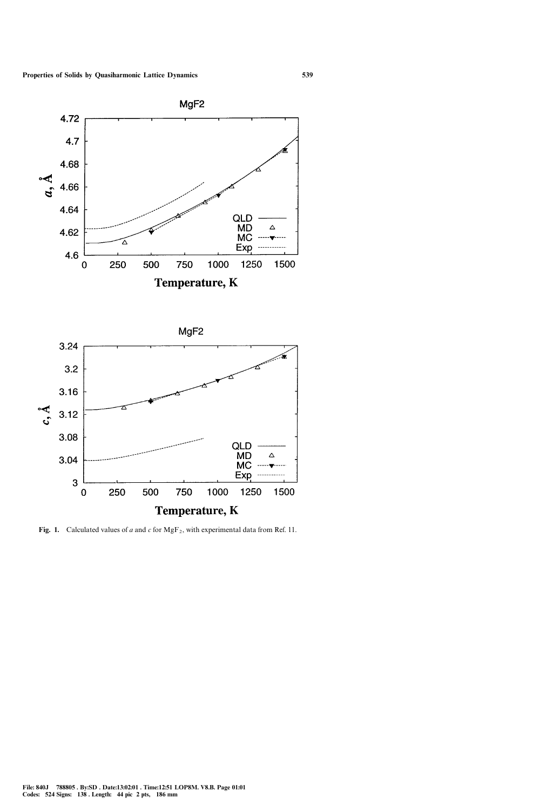

MgF<sub>2</sub> 3.24  $3.2$  $3.16$  $3.12$ 3.08 QLD MD Δ 3.04 **MC** Exp 3 250 500 750 1000 1250 1500  $\mathbf 0$ **Temperature, K** 

Fig. 1. Calculated values of a and c for  $MgF_2$ , with experimental data from Ref. 11.

MgF<sub>2</sub>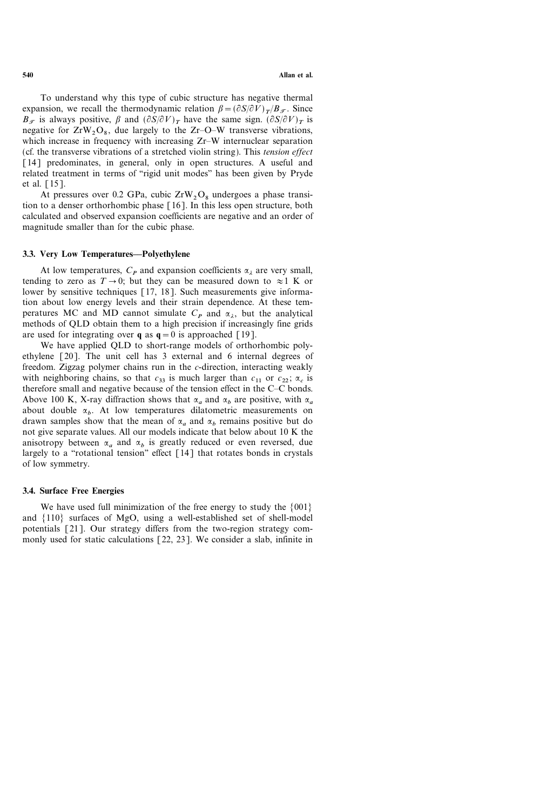To understand why this type of cubic structure has negative thermal expansion, we recall the thermodynamic relation  $\beta = (\partial S/\partial V)_{T/B_{\sigma}}$ . Since  $B_{\tau}$  is always positive,  $\beta$  and  $(\partial S/\partial V)_T$  have the same sign.  $(\partial S/\partial V)_T$  is negative for  $ZrW_2O_8$ , due largely to the  $Zr-O-W$  transverse vibrations, which increase in frequency with increasing  $Zr-W$  internuclear separation (cf. the transverse vibrations of a stretched violin string). This tension effect [14] predominates, in general, only in open structures. A useful and related treatment in terms of "rigid unit modes" has been given by Pryde et al. [15].

At pressures over 0.2 GPa, cubic  $ZrW_2O_8$  undergoes a phase transition to a denser orthorhombic phase [16]. In this less open structure, both calculated and observed expansion coefficients are negative and an order of magnitude smaller than for the cubic phase.

# 3.3. Very Low Temperatures-Polyethylene

At low temperatures,  $C_P$  and expansion coefficients  $\alpha_i$  are very small, tending to zero as  $T \rightarrow 0$ ; but they can be measured down to  $\approx 1$  K or lower by sensitive techniques [17, 18]. Such measurements give information about low energy levels and their strain dependence. At these temperatures MC and MD cannot simulate  $C_P$  and  $\alpha_{\lambda}$ , but the analytical methods of QLD obtain them to a high precision if increasingly fine grids are used for integrating over **q** as  $q = 0$  is approached [19].

We have applied QLD to short-range models of orthorhombic polyethylene [20]. The unit cell has 3 external and 6 internal degrees of freedom. Zigzag polymer chains run in the c-direction, interacting weakly with neighboring chains, so that  $c_{33}$  is much larger than  $c_{11}$  or  $c_{22}$ ;  $\alpha_c$  is therefore small and negative because of the tension effect in the  $C-C$  bonds. Above 100 K, X-ray diffraction shows that  $\alpha_a$  and  $\alpha_b$  are positive, with  $\alpha_a$ about double  $\alpha_b$ . At low temperatures dilatometric measurements on drawn samples show that the mean of  $\alpha_a$  and  $\alpha_b$  remains positive but do not give separate values. All our models indicate that below about 10 K the anisotropy between  $\alpha_a$  and  $\alpha_b$  is greatly reduced or even reversed, due largely to a "rotational tension" effect  $\lceil 14 \rceil$  that rotates bonds in crystals of low symmetry.

### 3.4. Surface Free Energies

We have used full minimization of the free energy to study the  $\{001\}$ and  $\{110\}$  surfaces of MgO, using a well-established set of shell-model potentials [21]. Our strategy differs from the two-region strategy commonly used for static calculations [22, 23]. We consider a slab, infinite in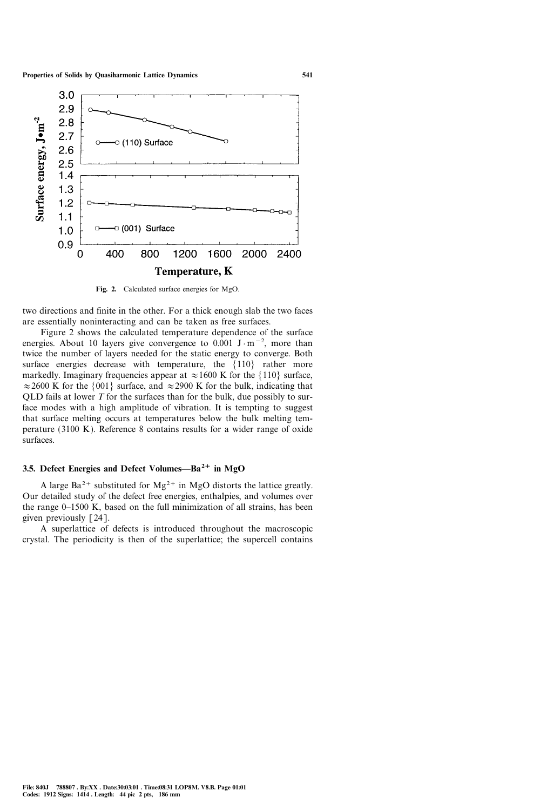

Fig. 2. Calculated surface energies for MgO.

two directions and finite in the other. For a thick enough slab the two faces are essentially noninteracting and can be taken as free surfaces.

Figure 2 shows the calculated temperature dependence of the surface energies. About 10 layers give convergence to 0.001  $J \cdot m^{-2}$ , more than twice the number of layers needed for the static energy to converge. Both surface energies decrease with temperature, the  $\{110\}$  rather more markedly. Imaginary frequencies appear at  $\approx 1600$  K for the  $\{110\}$  surface,  $\approx$  2600 K for the {001} surface, and  $\approx$  2900 K for the bulk, indicating that QLD fails at lower  $T$  for the surfaces than for the bulk, due possibly to surface modes with a high amplitude of vibration. It is tempting to suggest that surface melting occurs at temperatures below the bulk melting temperature (3100 K). Reference 8 contains results for a wider range of oxide surfaces.

# 3.5. Defect Energies and Defect Volumes- $Ba^{2+}$  in MgO

A large  $Ba^{2+}$  substituted for  $Mg^{2+}$  in MgO distorts the lattice greatly. Our detailed study of the defect free energies, enthalpies, and volumes over the range  $0-1500$  K, based on the full minimization of all strains, has been given previously [24].

A superlattice of defects is introduced throughout the macroscopic crystal. The periodicity is then of the superlattice; the supercell contains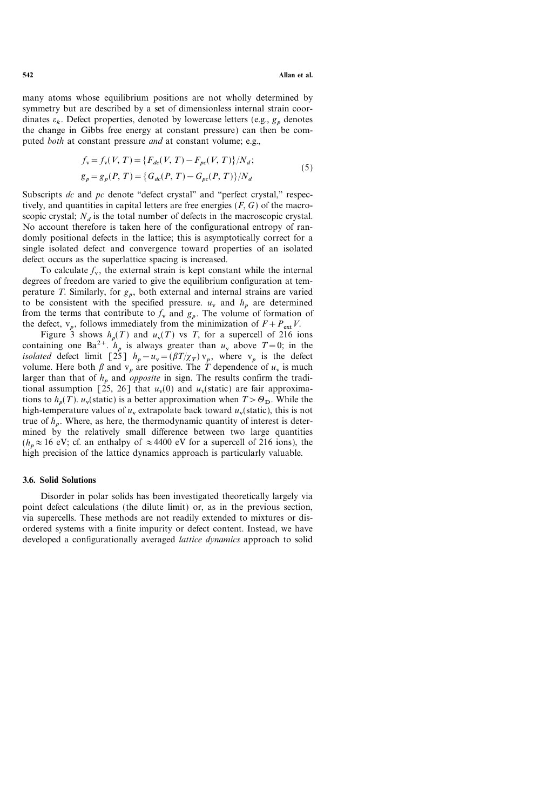many atoms whose equilibrium positions are not wholly determined by symmetry but are described by a set of dimensionless internal strain coordinates  $\varepsilon_k$ . Defect properties, denoted by lowercase letters (e.g.,  $g_p$  denotes the change in Gibbs free energy at constant pressure) can then be computed *both* at constant pressure *and* at constant volume; e.g.,

$$
f_{v} = f_{v}(V, T) = \{F_{dc}(V, T) - F_{pc}(V, T)\}/N_{d};
$$
  
\n
$$
g_{p} = g_{p}(P, T) = \{G_{dc}(P, T) - G_{pc}(P, T)\}/N_{d}
$$
\n(5)

Subscripts  $dc$  and  $pc$  denote "defect crystal" and "perfect crystal," respectively, and quantities in capital letters are free energies  $(F, G)$  of the macroscopic crystal;  $N_d$  is the total number of defects in the macroscopic crystal. No account therefore is taken here of the configurational entropy of randomly positional defects in the lattice; this is asymptotically correct for a single isolated defect and convergence toward properties of an isolated defect occurs as the superlattice spacing is increased.

To calculate  $f_v$ , the external strain is kept constant while the internal degrees of freedom are varied to give the equilibrium configuration at temperature T. Similarly, for  $g_p$ , both external and internal strains are varied to be consistent with the specified pressure.  $u_v$  and  $h_p$  are determined from the terms that contribute to  $f_v$  and  $g_p$ . The volume of formation of the defect,  $v_p$ , follows immediately from the minimization of  $F+P_{ext}V$ .

Figure 3 shows  $h_p(T)$  and  $u_v(T)$  vs T, for a supercell of 216 ions containing one Ba<sup>2+</sup>.  $h_n$  is always greater than  $u_v$  above  $T=0$ ; in the isolated defect limit [25]  $h_p - u_v = (\beta T/\chi_T) v_p$ , where  $v_p$  is the defect volume. Here both  $\beta$  and  $v_p$  are positive. The  $\tilde{T}$  dependence of  $u_v$  is much larger than that of  $h<sub>p</sub>$  and *opposite* in sign. The results confirm the traditional assumption  $\lceil 25, 26 \rceil$  that  $u_v(0)$  and  $u_v(\text{static})$  are fair approximations to  $h_n(T)$ .  $u_v$ (static) is a better approximation when  $T > \Theta_D$ . While the high-temperature values of  $u_v$  extrapolate back toward  $u_v$ (static), this is not true of  $h_n$ . Where, as here, the thermodynamic quantity of interest is determined by the relatively small difference between two large quantities  $(h_n \approx 16 \text{ eV}; \text{ cf. an enthalpy of } \approx 4400 \text{ eV}$  for a supercell of 216 ions), the high precision of the lattice dynamics approach is particularly valuable.

## 3.6. Solid Solutions

Disorder in polar solids has been investigated theoretically largely via point defect calculations (the dilute limit) or, as in the previous section, via supercells. These methods are not readily extended to mixtures or disordered systems with a finite impurity or defect content. Instead, we have developed a configurationally averaged *lattice dynamics* approach to solid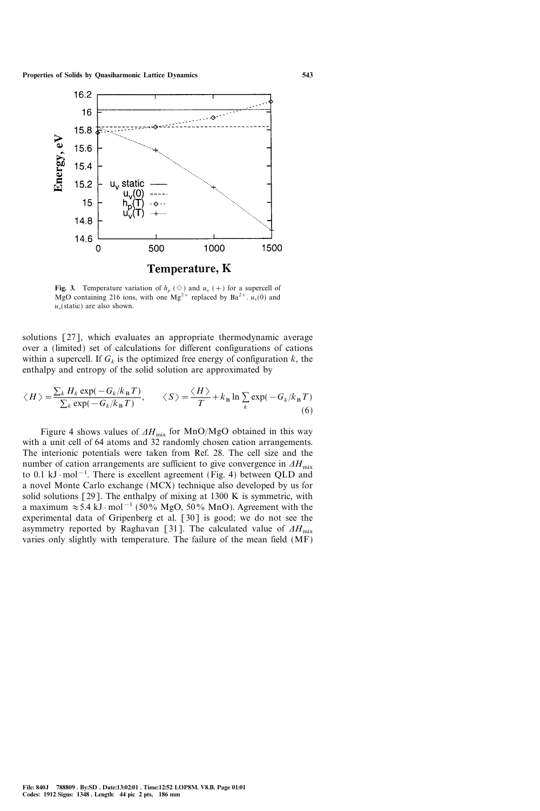

Fig. 3. Temperature variation of  $h_n(\Diamond)$  and  $u_v$  (+) for a supercell of MgO containing 216 ions, with one Mg<sup>2+</sup> replaced by Ba<sup>2+</sup>.  $u_v(0)$  and  $u_{\rm v}$ (static) are also shown.

solutions [27], which evaluates an appropriate thermodynamic average over a (limited) set of calculations for different configurations of cations within a supercell. If  $G_k$  is the optimized free energy of configuration k, the enthalpy and entropy of the solid solution are approximated by

$$
\langle H \rangle = \frac{\sum_{k} H_{k} \exp(-G_{k}/k_{B}T)}{\sum_{k} \exp(-G_{k}/k_{B}T)}, \qquad \langle S \rangle = \frac{\langle H \rangle}{T} + k_{B} \ln \sum_{k} \exp(-G_{k}/k_{B}T)
$$
(6)

Figure 4 shows values of  $\Delta H_{\text{mix}}$  for MnO/MgO obtained in this way with a unit cell of 64 atoms and 32 randomly chosen cation arrangements. The interionic potentials were taken from Ref. 28. The cell size and the number of cation arrangements are sufficient to give convergence in  $\Delta H_{\text{mix}}$ to 0.1 kJ  $\cdot$  mol<sup>-1</sup>. There is excellent agreement (Fig. 4) between QLD and a novel Monte Carlo exchange (MCX) technique also developed by us for solid solutions  $[29]$ . The enthalpy of mixing at 1300 K is symmetric, with a maximum  $\approx 5.4 \text{ kJ} \cdot \text{mol}^{-1}$  (50% MgO, 50% MnO). Agreement with the experimental data of Gripenberg et al. [30] is good; we do not see the asymmetry reported by Raghavan [31]. The calculated value of  $\Delta H_{\text{mix}}$ varies only slightly with temperature. The failure of the mean field (MF)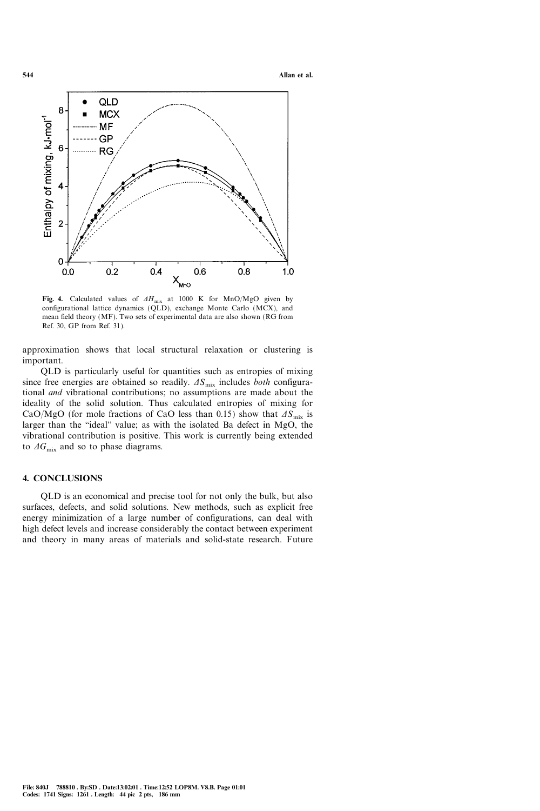

Fig. 4. Calculated values of  $AH_{mix}$  at 1000 K for MnO/MgO given by configurational lattice dynamics (QLD), exchange Monte Carlo (MCX), and mean field theory (MF). Two sets of experimental data are also shown (RG from Ref. 30, GP from Ref. 31).

approximation shows that local structural relaxation or clustering is important.

QLD is particularly useful for quantities such as entropies of mixing since free energies are obtained so readily.  $\Delta S_{\text{mix}}$  includes *both* configurational and vibrational contributions; no assumptions are made about the ideality of the solid solution. Thus calculated entropies of mixing for CaO/MgO (for mole fractions of CaO less than 0.15) show that  $\Delta S_{\text{mix}}$  is larger than the "ideal" value; as with the isolated Ba defect in MgO, the vibrational contribution is positive. This work is currently being extended to  $\Delta G_{\text{mix}}$  and so to phase diagrams.

### 4. CONCLUSIONS

QLD is an economical and precise tool for not only the bulk, but also surfaces, defects, and solid solutions. New methods, such as explicit free energy minimization of a large number of configurations, can deal with high defect levels and increase considerably the contact between experiment and theory in many areas of materials and solid-state research. Future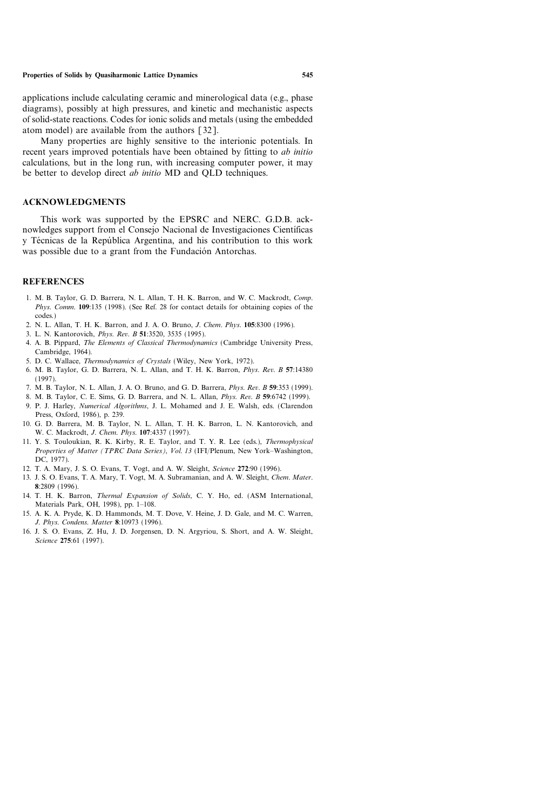applications include calculating ceramic and minerological data (e.g., phase diagrams), possibly at high pressures, and kinetic and mechanistic aspects of solid-state reactions. Codes for ionic solids and metals (using the embedded atom model) are available from the authors [32].

Many properties are highly sensitive to the interionic potentials. In recent years improved potentials have been obtained by fitting to *ab initio* calculations, but in the long run, with increasing computer power, it may be better to develop direct *ab initio* MD and QLD techniques.

### ACKNOWLEDGMENTS

This work was supported by the EPSRC and NERC. G.D.B. acknowledges support from el Consejo Nacional de Investigaciones Científicas y Técnicas de la República Argentina, and his contribution to this work was possible due to a grant from the Fundación Antorchas.

### REFERENCES

- 1. M. B. Taylor, G. D. Barrera, N. L. Allan, T. H. K. Barron, and W. C. Mackrodt, Comp. Phys. Comm. 109:135 (1998). (See Ref. 28 for contact details for obtaining copies of the codes.)
- 2. N. L. Allan, T. H. K. Barron, and J. A. O. Bruno, J. Chem. Phys. 105:8300 (1996).
- 3. L. N. Kantorovich, Phys. Rev. B 51:3520, 3535 (1995).
- 4. A. B. Pippard, The Elements of Classical Thermodynamics (Cambridge University Press, Cambridge, 1964).
- 5. D. C. Wallace, Thermodynamics of Crystals (Wiley, New York, 1972).
- 6. M. B. Taylor, G. D. Barrera, N. L. Allan, and T. H. K. Barron, Phys. Rev. B 57:14380 (1997).
- 7. M. B. Taylor, N. L. Allan, J. A. O. Bruno, and G. D. Barrera, Phys. Rev. B 59:353 (1999).
- 8. M. B. Taylor, C. E. Sims, G. D. Barrera, and N. L. Allan, Phys. Rev. B 59:6742 (1999).
- 9. P. J. Harley, Numerical Algorithms, J. L. Mohamed and J. E. Walsh, eds. (Clarendon Press, Oxford, 1986), p. 239.
- 10. G. D. Barrera, M. B. Taylor, N. L. Allan, T. H. K. Barron, L. N. Kantorovich, and W. C. Mackrodt, J. Chem. Phys. 107:4337 (1997).
- 11. Y. S. Touloukian, R. K. Kirby, R. E. Taylor, and T. Y. R. Lee (eds.), Thermophysical Properties of Matter (TPRC Data Series), Vol. 13 (IFI/Plenum, New York-Washington, DC, 1977).
- 12. T. A. Mary, J. S. O. Evans, T. Vogt, and A. W. Sleight, Science 272:90 (1996).
- 13. J. S. O. Evans, T. A. Mary, T. Vogt, M. A. Subramanian, and A. W. Sleight, Chem. Mater. 8:2809 (1996).
- 14. T. H. K. Barron, Thermal Expansion of Solids, C. Y. Ho, ed. (ASM International, Materials Park, OH, 1998), pp. 1-108.
- 15. A. K. A. Pryde, K. D. Hammonds, M. T. Dove, V. Heine, J. D. Gale, and M. C. Warren, J. Phys. Condens. Matter 8:10973 (1996).
- 16. J. S. O. Evans, Z. Hu, J. D. Jorgensen, D. N. Argyriou, S. Short, and A. W. Sleight, Science 275:61 (1997).